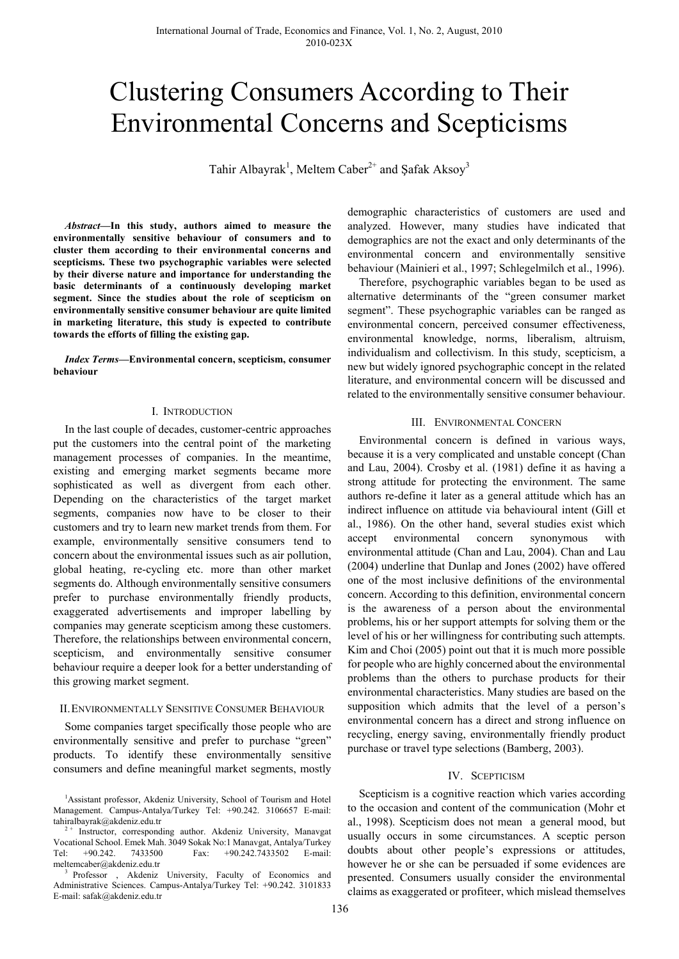# Clustering Consumers According to Their Environmental Concerns and Scepticisms

Tahir Albayrak<sup>1</sup>, Meltem Caber<sup>2+</sup> and Şafak Aksoy<sup>3</sup>

*Abstract***—In this study, authors aimed to measure the environmentally sensitive behaviour of consumers and to cluster them according to their environmental concerns and scepticisms. These two psychographic variables were selected by their diverse nature and importance for understanding the basic determinants of a continuously developing market segment. Since the studies about the role of scepticism on environmentally sensitive consumer behaviour are quite limited in marketing literature, this study is expected to contribute towards the efforts of filling the existing gap.** 

*Index Terms***—Environmental concern, scepticism, consumer behaviour** 

### I. INTRODUCTION

In the last couple of decades, customer-centric approaches put the customers into the central point of the marketing management processes of companies. In the meantime, existing and emerging market segments became more sophisticated as well as divergent from each other. Depending on the characteristics of the target market segments, companies now have to be closer to their customers and try to learn new market trends from them. For example, environmentally sensitive consumers tend to concern about the environmental issues such as air pollution, global heating, re-cycling etc. more than other market segments do. Although environmentally sensitive consumers prefer to purchase environmentally friendly products, exaggerated advertisements and improper labelling by companies may generate scepticism among these customers. Therefore, the relationships between environmental concern, scepticism, and environmentally sensitive consumer behaviour require a deeper look for a better understanding of this growing market segment.

### II.ENVIRONMENTALLY SENSITIVE CONSUMER BEHAVIOUR

Some companies target specifically those people who are environmentally sensitive and prefer to purchase "green" products. To identify these environmentally sensitive consumers and define meaningful market segments, mostly demographic characteristics of customers are used and analyzed. However, many studies have indicated that demographics are not the exact and only determinants of the environmental concern and environmentally sensitive behaviour (Mainieri et al., 1997; Schlegelmilch et al., 1996).

Therefore, psychographic variables began to be used as alternative determinants of the "green consumer market segment". These psychographic variables can be ranged as environmental concern, perceived consumer effectiveness, environmental knowledge, norms, liberalism, altruism, individualism and collectivism. In this study, scepticism, a new but widely ignored psychographic concept in the related literature, and environmental concern will be discussed and related to the environmentally sensitive consumer behaviour.

### III. ENVIRONMENTAL CONCERN

Environmental concern is defined in various ways, because it is a very complicated and unstable concept (Chan and Lau, 2004). Crosby et al. (1981) define it as having a strong attitude for protecting the environment. The same authors re-define it later as a general attitude which has an indirect influence on attitude via behavioural intent (Gill et al., 1986). On the other hand, several studies exist which accept environmental concern synonymous with environmental attitude (Chan and Lau, 2004). Chan and Lau (2004) underline that Dunlap and Jones (2002) have offered one of the most inclusive definitions of the environmental concern. According to this definition, environmental concern is the awareness of a person about the environmental problems, his or her support attempts for solving them or the level of his or her willingness for contributing such attempts. Kim and Choi (2005) point out that it is much more possible for people who are highly concerned about the environmental problems than the others to purchase products for their environmental characteristics. Many studies are based on the supposition which admits that the level of a person's environmental concern has a direct and strong influence on recycling, energy saving, environmentally friendly product purchase or travel type selections (Bamberg, 2003).

### IV. SCEPTICISM

Scepticism is a cognitive reaction which varies according to the occasion and content of the communication (Mohr et al., 1998). Scepticism does not mean a general mood, but usually occurs in some circumstances. A sceptic person doubts about other people's expressions or attitudes, however he or she can be persuaded if some evidences are presented. Consumers usually consider the environmental claims as exaggerated or profiteer, which mislead themselves

<sup>&</sup>lt;sup>1</sup>Assistant professor, Akdeniz University, School of Tourism and Hotel Management. Campus-Antalya/Turkey Tel: +90.242. 3106657 E-mail: tahiralbayrak@akdeniz.edu.tr  $2 + 2 + 1$  Instructor, corresponding author. Akdeniz University, Manavgat

Vocational School. Emek Mah. 3049 Sokak No:1 Manavgat, Antalya/Turkey Tel: +90.242. 7433500 Fax: +90.242.7433502 E-mail:

meltemcaber@akdeniz.edu.tr 3 Professor , Akdeniz University, Faculty of Economics and Administrative Sciences. Campus-Antalya/Turkey Tel: +90.242. 3101833 E-mail: safak@akdeniz.edu.tr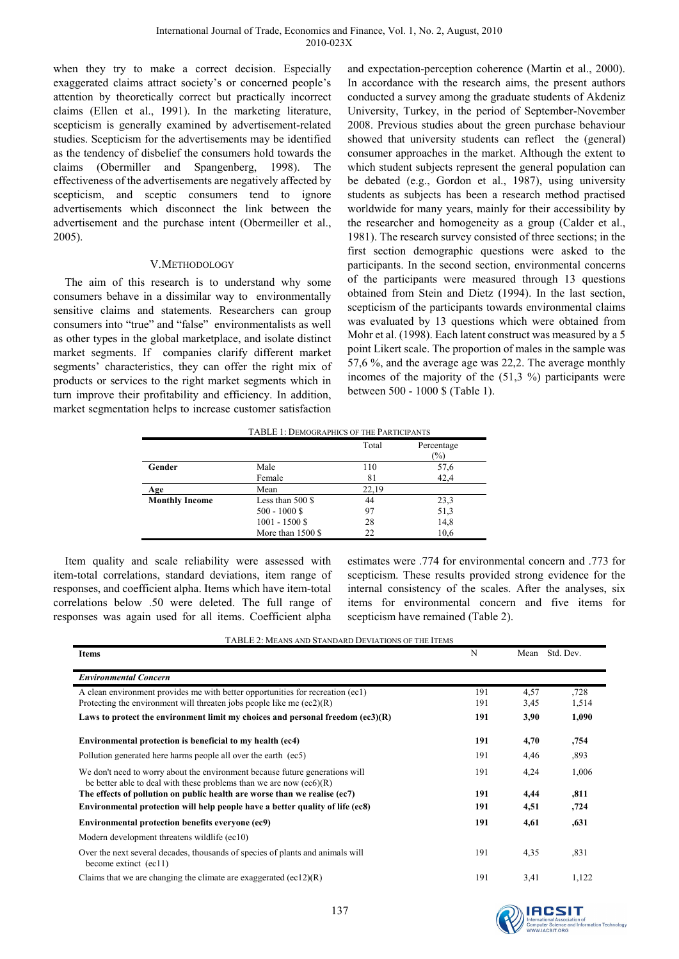when they try to make a correct decision. Especially exaggerated claims attract society's or concerned people's attention by theoretically correct but practically incorrect claims (Ellen et al., 1991). In the marketing literature, scepticism is generally examined by advertisement-related studies. Scepticism for the advertisements may be identified as the tendency of disbelief the consumers hold towards the claims (Obermiller and Spangenberg, 1998). The effectiveness of the advertisements are negatively affected by scepticism, and sceptic consumers tend to ignore advertisements which disconnect the link between the advertisement and the purchase intent (Obermeiller et al., 2005).

# V.METHODOLOGY

The aim of this research is to understand why some consumers behave in a dissimilar way to environmentally sensitive claims and statements. Researchers can group consumers into "true" and "false" environmentalists as well as other types in the global marketplace, and isolate distinct market segments. If companies clarify different market segments' characteristics, they can offer the right mix of products or services to the right market segments which in turn improve their profitability and efficiency. In addition, market segmentation helps to increase customer satisfaction and expectation-perception coherence (Martin et al., 2000). In accordance with the research aims, the present authors conducted a survey among the graduate students of Akdeniz University, Turkey, in the period of September-November 2008. Previous studies about the green purchase behaviour showed that university students can reflect the (general) consumer approaches in the market. Although the extent to which student subjects represent the general population can be debated (e.g., Gordon et al., 1987), using university students as subjects has been a research method practised worldwide for many years, mainly for their accessibility by the researcher and homogeneity as a group (Calder et al., 1981). The research survey consisted of three sections; in the first section demographic questions were asked to the participants. In the second section, environmental concerns of the participants were measured through 13 questions obtained from Stein and Dietz (1994). In the last section, scepticism of the participants towards environmental claims was evaluated by 13 questions which were obtained from Mohr et al. (1998). Each latent construct was measured by a 5 point Likert scale. The proportion of males in the sample was 57,6 %, and the average age was 22,2. The average monthly incomes of the majority of the (51,3 %) participants were between 500 - 1000 \$ (Table 1).

TABLE 1: DEMOGRAPHICS OF THE PARTICIPANTS

|                       |                    | Total | Percentage<br>$\frac{1}{2}$ |
|-----------------------|--------------------|-------|-----------------------------|
| Gender                | Male               | 110   | 57,6                        |
|                       | Female             | 81    | 42,4                        |
| Age                   | Mean               | 22,19 |                             |
| <b>Monthly Income</b> | Less than $500$ \$ | 44    | 23.3                        |
|                       | $500 - 1000$ \$    | 97    | 51,3                        |
|                       | $1001 - 1500$ \$   | 28    | 14,8                        |
|                       | More than 1500 \$  | 22    | 10,6                        |

Item quality and scale reliability were assessed with item-total correlations, standard deviations, item range of responses, and coefficient alpha. Items which have item-total correlations below .50 were deleted. The full range of responses was again used for all items. Coefficient alpha

estimates were .774 for environmental concern and .773 for scepticism. These results provided strong evidence for the internal consistency of the scales. After the analyses, six items for environmental concern and five items for scepticism have remained (Table 2).

TABLE 2: MEANS AND STANDARD DEVIATIONS OF THE ITEMS

| <b>Items</b>                                                                                                                                          | N   | Mean | Std. Dev. |
|-------------------------------------------------------------------------------------------------------------------------------------------------------|-----|------|-----------|
| <b>Environmental Concern</b>                                                                                                                          |     |      |           |
| A clean environment provides me with better opportunities for recreation (ec1)                                                                        | 191 | 4,57 | .728      |
| Protecting the environment will threaten jobs people like me $(ec2)(R)$                                                                               | 191 | 3,45 | 1,514     |
| Laws to protect the environment limit my choices and personal freedom $(ec3)(R)$                                                                      | 191 | 3,90 | 1,090     |
| Environmental protection is beneficial to my health (ec4)                                                                                             | 191 | 4,70 | ,754      |
| Pollution generated here harms people all over the earth (ec5)                                                                                        | 191 | 4,46 | ,893      |
| We don't need to worry about the environment because future generations will<br>be better able to deal with these problems than we are now $(ec6)(R)$ | 191 | 4,24 | 1,006     |
| The effects of pollution on public health are worse than we realise (ec7)                                                                             | 191 | 4,44 | ,811      |
| Environmental protection will help people have a better quality of life (ec8)                                                                         | 191 | 4,51 | ,724      |
| Environmental protection benefits everyone (ec9)                                                                                                      | 191 | 4,61 | ,631      |
| Modern development threatens wildlife (ec10)                                                                                                          |     |      |           |
| Over the next several decades, thousands of species of plants and animals will<br>become extinct (ec11)                                               | 191 | 4,35 | ,831      |
| Claims that we are changing the climate are exaggerated $(ec12)(R)$                                                                                   | 191 | 3,41 | 1,122     |

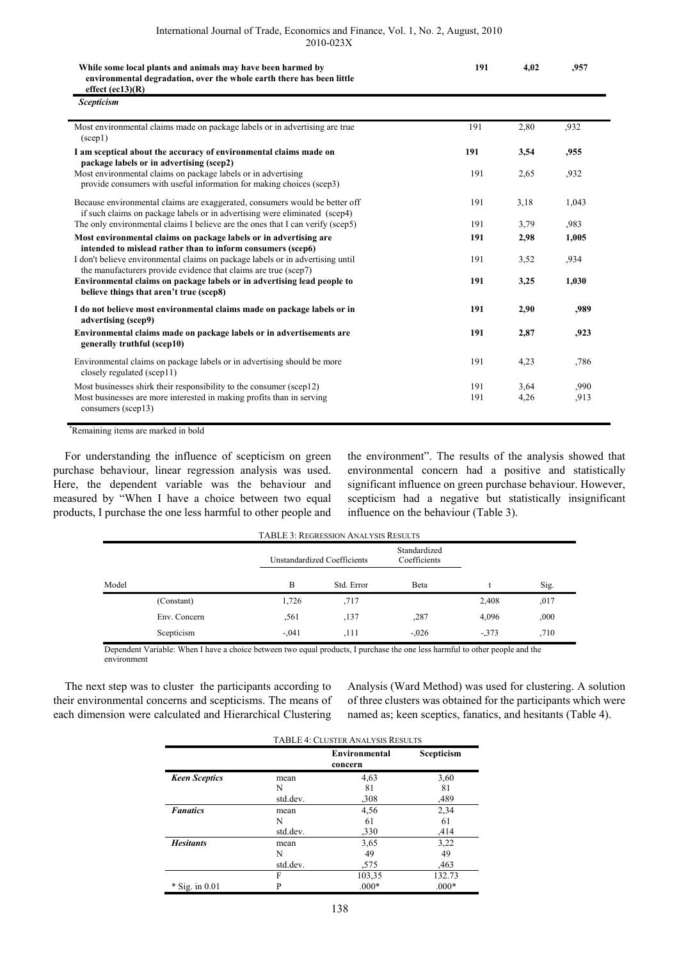| While some local plants and animals may have been harmed by           |  |
|-----------------------------------------------------------------------|--|
| environmental degradation, over the whole earth there has been little |  |
| effect $(ec13)(R)$                                                    |  |

| <b>Scepticism</b>                                                                                                                                         |     |      |       |
|-----------------------------------------------------------------------------------------------------------------------------------------------------------|-----|------|-------|
| Most environmental claims made on package labels or in advertising are true<br>$(\text{see } 1)$                                                          | 191 | 2,80 | .932  |
| I am sceptical about the accuracy of environmental claims made on<br>package labels or in advertising (scep2)                                             | 191 | 3,54 | .955  |
| Most environmental claims on package labels or in advertising<br>provide consumers with useful information for making choices (scep3)                     | 191 | 2,65 | ,932  |
| Because environmental claims are exaggerated, consumers would be better off<br>if such claims on package labels or in advertising were eliminated (scep4) | 191 | 3,18 | 1,043 |
| The only environmental claims I believe are the ones that I can verify (scep5)                                                                            | 191 | 3,79 | ,983  |
| Most environmental claims on package labels or in advertising are<br>intended to mislead rather than to inform consumers (scep6)                          | 191 | 2,98 | 1,005 |
| I don't believe environmental claims on package labels or in advertising until<br>the manufacturers provide evidence that claims are true (scep7)         | 191 | 3,52 | ,934  |
| Environmental claims on package labels or in advertising lead people to<br>believe things that aren't true (scep8)                                        | 191 | 3,25 | 1,030 |
| I do not believe most environmental claims made on package labels or in<br>advertising (scep9)                                                            | 191 | 2,90 | ,989  |
| Environmental claims made on package labels or in advertisements are<br>generally truthful (scep10)                                                       | 191 | 2,87 | ,923  |
| Environmental claims on package labels or in advertising should be more<br>closely regulated (scep11)                                                     | 191 | 4,23 | ,786  |
| Most businesses shirk their responsibility to the consumer (scep12)                                                                                       | 191 | 3,64 | .990  |
| Most businesses are more interested in making profits than in serving<br>consumers (scep13)                                                               | 191 | 4,26 | ,913  |

\*Remaining items are marked in bold

For understanding the influence of scepticism on green purchase behaviour, linear regression analysis was used. Here, the dependent variable was the behaviour and measured by "When I have a choice between two equal products, I purchase the one less harmful to other people and the environment". The results of the analysis showed that environmental concern had a positive and statistically significant influence on green purchase behaviour. However, scepticism had a negative but statistically insignificant influence on the behaviour (Table 3).

**191 4,02 ,957** 

|       |              |         | <b>TABLE 3: REGRESSION ANALYSIS RESULTS</b> |                              |        |      |
|-------|--------------|---------|---------------------------------------------|------------------------------|--------|------|
|       |              |         | Unstandardized Coefficients                 | Standardized<br>Coefficients |        |      |
| Model |              | B       | Std. Error                                  | Beta                         |        | Sig. |
|       | (Constant)   | 1,726   | .717                                        |                              | 2,408  | ,017 |
|       | Env. Concern | .561    | ,137                                        | ,287                         | 4,096  | ,000 |
|       | Scepticism   | $-.041$ | ,111                                        | $-.026$                      | $-373$ | .710 |

Dependent Variable: When I have a choice between two equal products, I purchase the one less harmful to other people and the environment

The next step was to cluster the participants according to their environmental concerns and scepticisms. The means of each dimension were calculated and Hierarchical Clustering

Analysis (Ward Method) was used for clustering. A solution of three clusters was obtained for the participants which were named as; keen sceptics, fanatics, and hesitants (Table 4).

|                      | <b>TABLE 4: CLUSTER ANALYSIS RESULTS</b> |                                 |            |  |
|----------------------|------------------------------------------|---------------------------------|------------|--|
|                      |                                          | <b>Environmental</b><br>concern | Scepticism |  |
| <b>Keen Sceptics</b> | mean                                     | 4,63                            | 3,60       |  |
|                      | N                                        | 81                              | 81         |  |
|                      | std.dev.                                 | ,308                            | ,489       |  |
| <b>Fanatics</b>      | mean                                     | 4,56                            | 2,34       |  |
|                      | N                                        | 61                              | 61         |  |
|                      | std.dev.                                 | ,330                            | ,414       |  |
| <b>Hesitants</b>     | mean                                     | 3,65                            | 3,22       |  |
|                      | N                                        | 49                              | 49         |  |
|                      | std.dev.                                 | ,575                            | ,463       |  |
|                      | F                                        | 103,35                          | 132.73     |  |
| $*$ Sig. in 0.01     | P                                        | $.000*$                         | $.000*$    |  |